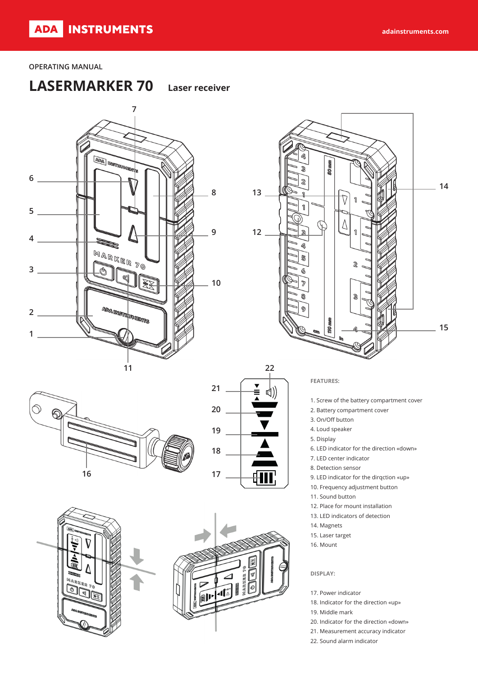### **OPERATING MANUAL**

# **LASERMARKER 70 Laser receiver**













### **FEATURES:**

- 1. Screw of the battery compartment cover
- 2. Battery compartment cover
- 3. On/Off button
- 4. Loud speaker
- 5. Display
- 6. LED indicator for the direction «down»
- 7. LED center indicator
- 8. Detection sensor
- 9. LED indicator for the dirqction «up»
- 10. Frequency adjustment button
- 11. Sound button
- 12. Place for mount installation
- 13. LED indicators of detection
- 14. Magnets
- 15. Laser target
- 16. Mount

#### **DISPLAY:**

- 17. Power indicator
- 18. Indicator for the direction «up»
- 19. Middle mark
- 20. Indicator for the direction «down»
- 21. Measurement accuracy indicator
- 22. Sound alarm indicator